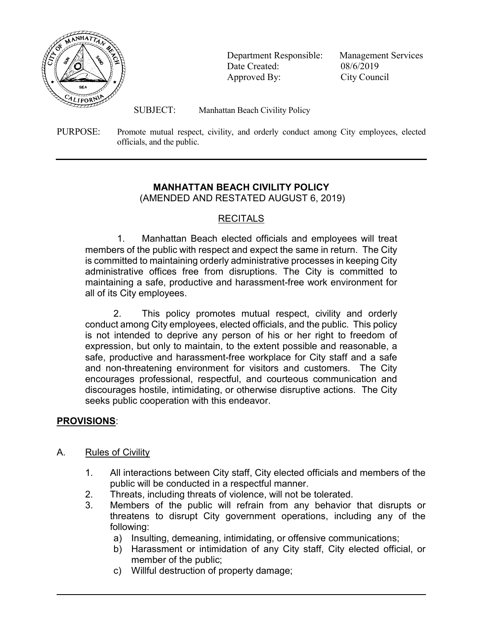

 Department Responsible: Management Services Date Created: 08/6/2019 Approved By: City Council

SUBJECT: Manhattan Beach Civility Policy

PURPOSE: Promote mutual respect, civility, and orderly conduct among City employees, elected officials, and the public.

# MANHATTAN BEACH CIVILITY POLICY

(AMENDED AND RESTATED AUGUST 6, 2019)

# RECITALS

1. Manhattan Beach elected officials and employees will treat members of the public with respect and expect the same in return. The City is committed to maintaining orderly administrative processes in keeping City administrative offices free from disruptions. The City is committed to maintaining a safe, productive and harassment-free work environment for all of its City employees.

2. This policy promotes mutual respect, civility and orderly conduct among City employees, elected officials, and the public. This policy is not intended to deprive any person of his or her right to freedom of expression, but only to maintain, to the extent possible and reasonable, a safe, productive and harassment-free workplace for City staff and a safe and non-threatening environment for visitors and customers. The City encourages professional, respectful, and courteous communication and discourages hostile, intimidating, or otherwise disruptive actions. The City seeks public cooperation with this endeavor.

# PROVISIONS:

 $\overline{\phantom{a}}$ 

## A. Rules of Civility

- 1. All interactions between City staff, City elected officials and members of the public will be conducted in a respectful manner.
- 2. Threats, including threats of violence, will not be tolerated.
- 3. Members of the public will refrain from any behavior that disrupts or threatens to disrupt City government operations, including any of the following:
	- a) Insulting, demeaning, intimidating, or offensive communications;
	- b) Harassment or intimidation of any City staff, City elected official, or member of the public;
	- c) Willful destruction of property damage;